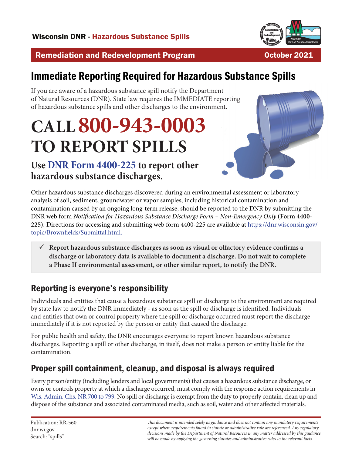

October 2021

#### Remediation and Redevelopment Program

# Immediate Reporting Required for Hazardous Substance Spills

If you are aware of a hazardous substance spill notify the Department of Natural Resources (DNR). State law requires the IMMEDIATE reporting of hazardous substance spills and other discharges to the environment.

# **CALL 800-943-0003 TO REPORT SPILLS**

# **Use [DNR Form 4400-225](https://dnr.wisconsin.gov/topic/Brownfields/Submittal.html) to report other hazardous substance discharges.**



Other hazardous substance discharges discovered during an environmental assessment or laboratory analysis of soil, sediment, groundwater or vapor samples, including historical contamination and contamination caused by an ongoing long-term release, should be reported to the DNR by submitting the DNR web form *Notification for Hazardous Substance Discharge Form – Non-Emergency Only* **(Form 4400- 225)**. Directions for accessing and submitting web form 4400-225 are available at [https://dnr.wisconsin.gov/](https://dnr.wisconsin.gov/topic/Brownfields/Submittal.html) [topic/Brownfields/Submittal.html.](https://dnr.wisconsin.gov/topic/Brownfields/Submittal.html)

9 **Report hazardous substance discharges as soon as visual or olfactory evidence confirms a discharge or laboratory data is available to document a discharge. Do not wait to complete a Phase II environmental assessment, or other similar report, to notify the DNR.** 

### Reporting is everyone's responsibility

Individuals and entities that cause a hazardous substance spill or discharge to the environment are required by state law to notify the DNR immediately - as soon as the spill or discharge is identified. Individuals and entities that own or control property where the spill or discharge occurred must report the discharge immediately if it is not reported by the person or entity that caused the discharge.

For public health and safety, the DNR encourages everyone to report known hazardous substance discharges. Reporting a spill or other discharge, in itself, does not make a person or entity liable for the contamination.

#### Proper spill containment, cleanup, and disposal is always required

Every person/entity (including lenders and local governments) that causes a hazardous substance discharge, or owns or controls property at which a discharge occurred, must comply with the response action requirements in [Wis. Admin. Chs. NR 700 to 7](https://docs.legis.wisconsin.gov/code/admin_code/nr/700)99. No spill or discharge is exempt from the duty to properly contain, clean up and dispose of the substance and associated contaminated media, such as soil, water and other affected materials.